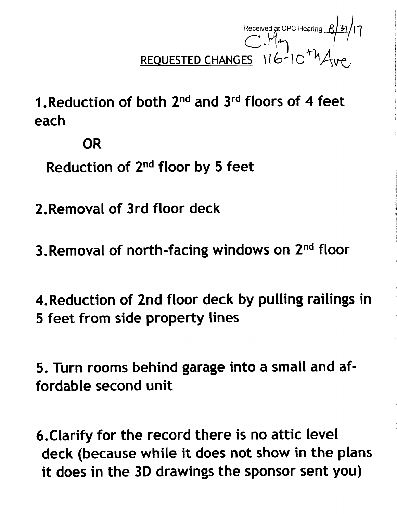Received at CPC Hearing  $8/3$ <br>  $\bigcirc$   $\bigcirc$   $\bigcirc$   $\bigcirc$   $\bigcirc$   $\bigcirc$   $\bigcirc$   $\bigcirc$   $\bigcirc$   $\bigcirc$   $\bigcirc$   $\bigcirc$   $\bigcirc$   $\bigcirc$   $\bigcirc$   $\bigcirc$   $\bigcirc$   $\bigcirc$   $\bigcirc$   $\bigcirc$   $\bigcirc$   $\bigcirc$   $\bigcirc$   $\bigcirc$   $\bigcirc$   $\bigcirc$   $\bigcirc$   $\bigcirc$   $\bigcirc$   $\bigcirc$   $\bigcirc$   $\bigcirc$ **REQUESTED CHANGES** 

1. Reduction of both 2<sup>nd</sup> and 3<sup>rd</sup> floors of 4 feet each

**OR** 

Reduction of  $2<sup>nd</sup>$  floor by 5 feet

2.Removal of 3rd floor deck

3. Removal of north-facing windows on 2<sup>nd</sup> floor

4.Reduction of 2nd floor deck by pulling railings in 5 feet from side property lines

5. Turn rooms behind garage into a small and affordable second unit

6.Clarify for the record there is no attic level deck (because while it does not show in the plans it does in the 3D drawings the sponsor sent you)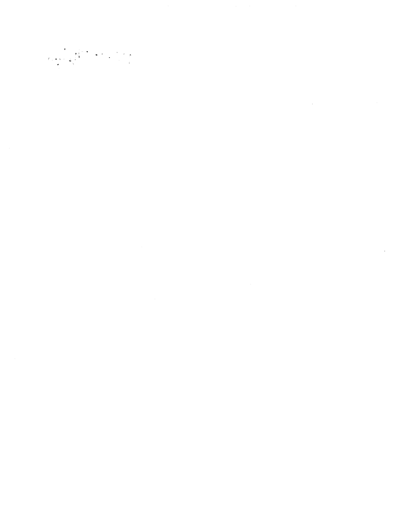$\label{eq:2.1} \frac{1}{\sqrt{2}}\int_{\mathbb{R}^3}\frac{1}{\sqrt{2}}\left(\frac{1}{\sqrt{2}}\int_{\mathbb{R}^3}\frac{1}{\sqrt{2}}\left(\frac{1}{\sqrt{2}}\int_{\mathbb{R}^3}\frac{1}{\sqrt{2}}\right)\left(\frac{1}{\sqrt{2}}\int_{\mathbb{R}^3}\frac{1}{\sqrt{2}}\right)\left(\frac{1}{\sqrt{2}}\int_{\mathbb{R}^3}\frac{1}{\sqrt{2}}\right)\left(\frac{1}{\sqrt{2}}\int_{\mathbb{R}^3}\frac{1}{\sqrt{2}}\int_{\mathbb{R}$ 

 $\sim 10^{-1}$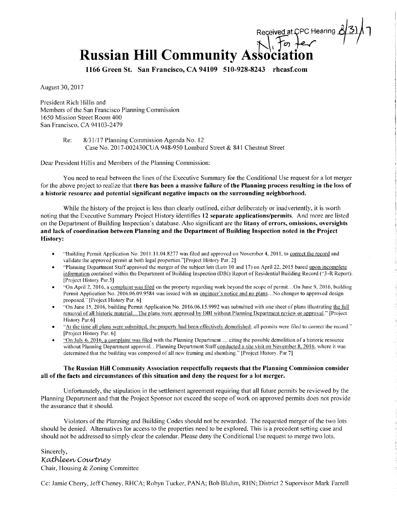### Russian Hill Community Association

Received at CPC Hearing  $2/51/7$ 

1166 Green St. San Francisco, CA 94109 510-928-8243 rhcasf.com

August 30, 2017

President Rich Hillis and Members of the San Francisco Planning Commission 1650 Mission Street Room 400 San Francisco, CA 94103-2479

> Re: 8/31/17 Planning Commission Agenda No. 12 Case No. 2017-002430CUA 948-950 Lombard Street & 841 Chestnut Street

Dear President Hillis and Members of the Planning Commission:

You need to read between the lines of the Executive Summary for the Conditional Use request for a lot merger for the above project to realize that there has been a massive failure of the Planning process resulting in the loss of a historic resource and potential significant negative impacts on the surrounding neighborhood.

While the history of the project is less than clearly outlined, either deliberately or inadvertently, it is worth noting that the Executive Summary Project History identifies 12 separate applications/permits. And more are listed on the Department of Building Inspection's database. Also significant are the litany of errors, omissions, oversights and lack of coordination between Planning and the Department of Building Inspection noted in the Project History:

- "Building Permit Application No. 2011.1 ].04.8277 was filed and approved on \ovember 4, 2011, to correct the record and validate the approved permit at both legal properties."[Project History Par. 2]
- "Planning Department Staff approved the merger of the subject lots (Lots 10 and 17) on April 22, 2015 based upon incomplete information contained within the Department of Building Inspection (DBI) Report of Residential Building Record ("3-R Report). [Project History Par.5]
- "On April 2, 2016, a complaint was filed on the property regarding work beyond the scope of permit...On June 9, 2016, building Permit Application No. 2016.06.09.9584 was issued with an engineer's notice and no plans...No changes to approved design proposed." [Project History Par. 6]
- <sup>\*</sup>On June 15, 2016, building Permit Application No. 2016.06.15.9992 was submitted with one sheet of plans illustrating the full removal of all historic material... The plans were approved by DBI without Planning Department review or approval." [Project History Par.6]
- "Ai the time all plans were submitted, the property had been effectively demolished; all permits were filed to correct the record." [Project History Par. 6]
- "On July 6. 2016, a complaint was filed with the Planning Department ... citing the possible demolition of a historic resource without Planning Department approval...Planning Department Staff conducted a site visit on November 8, 2016, where it was determined that the building was composed of all new framing and sheatling." [Project History. Par 7]

### The Russian Elill Community Association respectfully requests that the Planning Commission consider all of the facts and circumstances of this situation and deny the request for a lot merger.

Unfortunately, the stipulation in the settlement agreement requiring that all future permits be reviewed by the Planning Department and that the Project Sponsor not exceed the scope of work on approved permits does not provide the assurance that it should.

Violators of the Planning and Building Codes should not be rewarded. The requested merger of the two lots should be denied. Alternatives for access to the properties need to be explored. This is a precedent setting case and should not be addressed to simply clear the calendar. Please deny the Conditional Use request to merge two lots.

Sincerely, Kathleen Courtney Chair, Housing & Zoning Committee

Cc: Jamie Cherry, Jeff Cheney, RHCA; Robyn Tucker, PANA; Bob Bluhm, RHN; District 2 Supervisor Mark Farrell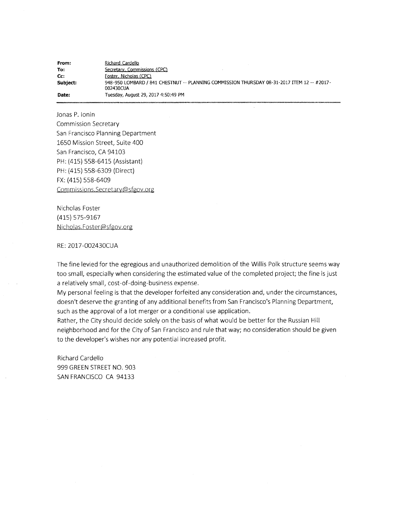| From:    | Richard Cardello                                                                                         |
|----------|----------------------------------------------------------------------------------------------------------|
| To:      | Secretary, Commissions (CPC)                                                                             |
| Cc:      | Foster, Nicholas (CPC)                                                                                   |
| Subject: | 948-950 LOMBARD / 841 CHESTNUT -- PLANNING COMMISSION THURSDAY 08-31-2017 ITEM 12 -- #2017-<br>002430CUA |
| Date:    | Tuesday, August 29, 2017 4:50:49 PM                                                                      |

Jonas P. Ionin

Commission Secretary San Francisco Planning Department 1650 Mission Street, Suite 400 San Francisco, CA 94103 PH: (415) 558-6415 (Assistant) PH: (415) 558-6309 (Direct) FX: (415) 558-6409 Commissions.Secretary@sfgov.org

Nicholas Foster (415) 575-9167 Nicholas.Foster@sfgov.org

RE: 2017-002430CUA

The fine levied for the egregious and unauthorized demolition of the Willis Polk structure seems way too small, especially when considering the estimated value of the completed project; the fine is just a relatively small, cost-of-doing-business expense.

My personal feeling is that the developer forfeited any consideration and, under the circumstances, doesn't deserve the granting of any additional benefits from San Francisco's Planning Department, such as the approval of a lot merger or a conditional use application.

Rather, the City should decide solely on the basis of what would be better for the Russian Hill neighborhood and for the City of San Francisco and rule that way; no consideration should be given to the developer's wishes nor any potential increased profit.

Richard Cardello 999 GREEN STREET NO. 903 SAN FRANCISCO CA 94133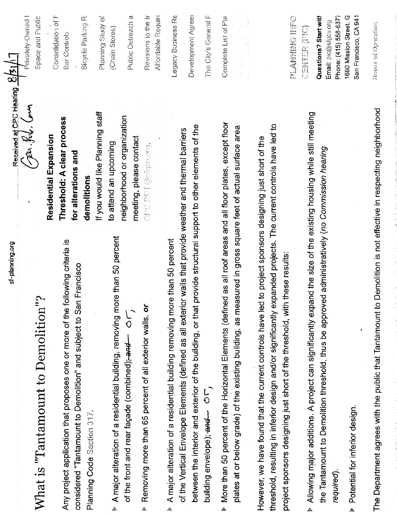sf-planning.org

 $\cdot$ .

What is "Tantamount to Demolition"?

Any project application that proposes one or more of the following criteria is Any projec# application that proposes one or more of the following cri#aria is considered "Tantamount to Demolition" and subject to San Francisco considered "Tantamount to Demolition" and subject to San Francisco Planning Code Section 317. Planning Code Section 317:

- A major alteration of a residential building, removing more than 50 percent major alteration of a residen#iat bui{ding, removing more than 50 percent  $\overline{C}$ of the front and rear façade (combined);  $\overline{a}$  and  $\overline{\phantom{a}}$   $\circ$ of the front and rear façade (combined)<del>; and</del> å.
- Removing more than 65 percent of all exterior walls, or Removing more than 65 percent of all exterior walls, or de.

of the Vertical Envelope Elements (defined as all exterior walls that provide weather and thermal barriers of the Vertical Envelope Elements (defined as all exterior walls that provide weather and thermal barriers A major alteration of a residential building removing more than 50 percent .4 major alteration of a residential building removing more than 50 percent Á.

between the interior and exterior of the building, or that provide structural support to other elements of the between the interior and exterior of the building, or that provide structural support to other elements of the building envelope); and  $\sim$  O.  $\begin{bmatrix} \text{build} \text{ind} & \text{diag} \\ \text{build} \text{ind} & \text{diag} \end{bmatrix}$  More than 50 percent of the Horizontal Elements (defined as all roof areas and all floor plates, except floor More than 50 percent of the Horizontal Elements (defined as all roof areas and all floor plates, except floor plates at or below grade) of the existing building, as measured in gross square feet of actual surface area plates at or below grade) of the existing building, as measured in gross square feet of actual surface area á.

threshold, resulting in inferior design and/or significantly expanded projects. The current controls have led to threshold, resulting in inferior design and/or significantly expanded prvjeets. The current controls have led~to However, we have found that the current controls have led to project sponsors designing just short of the However, we have fiound that the currant controls have led to project sponsors designing just short of the project sponsors designing just short of the threshold, with these results: project sponsors designing just short of the threshold, with these results:

- Allowing major additions. A project can significantly expand the size of the existing housing while still meeting Allowing major additions. A project can significantly expand the size ofi the existing housing whip still meeting the Tantamount to Demolition threshold, thus be approved administratively (no Commission hearing the Tantamount to Demolition threshold, thus be approved administratively (no Commission hearing required}. j.
- Potential for inferior design. Potential for inferior design.

The Department agrees with the public that Tantamount to Demolition is not effective in respecting neighborhood  $^{170\%}_{\Lambda\Lambda\Lambda\Lambda\Lambda\Lambda\Lambda\Lambda\Lambda}$ The Department agrees with the public that Tantamount to Demolition is not effective in respecting neighborhood

Received at OPC Hearing  $\frac{8}{|z|}$ 

d~li~oliti+~ns ~3ir.~yr.~l~ r~~~,~f~i~,n ~,~~ meeting, please contact  $~\blacksquare$ , p  $C \subset \mathbb{R}$  is ignored the individual independent  $\mathbb{R}$  evisions to the in If you would like Planning staff <sub>Planning Study of </sub> Residential Expansion<br>Threshold: A clear process to attend an upcoming  $~$   $~$   $~$   $~$   $\left($   $\text{Chain } \text{Stores}\right)$ Threshold: A clear process  $_{\rm Bar}$   $_{\rm Bar}$  controls If you would like Planning staff neighborhood or organization Threshold: A clear process neighborhood or organization Residential Expansion meeting, please contact to attend an upcoming ene au gestande. for alterations and for alterations and demolitions

Privately-Owned I Consolidation of F Bicycle Parking R Public Outreach a Revisions to the Ir Affordable Require Legacy Business Re The City's General F Space and Public Planning Study of Development Agreer Complete List of Pla Affordable Require Legacy Business Re Development Agree!  $J$  Let  $J$  and  $J$  and  $J$  and  $J$  and  $J$  and  $J$  and  $J$  and  $J$  and  $J$  and  $J$  and  $J$  and  $J$  and  $J$  and  $J$  and  $J$  and  $J$  and  $J$  and  $J$  and  $J$  and  $J$  and  $J$  and  $J$  and  $J$  and  $J$  and  $J$  and  $J$  and  $J$  a Complete List of Pla (Chain Stores) Bar Controls

 $\mathcal{P}$  . Animator in  $\mathcal{P}(\mathcal{P})$ 

Phone: (415) 558-6377 Questions? Start with 1660 Mission Street. G San Francisco, CA 941 Phone: (415) 558-6377 Questions? Start witP 1660 Mission Street. G San Francisco, CA 941 Email: pic@sfgov.org  $Email:$  pic@sfgov.org

Hours of Oppositon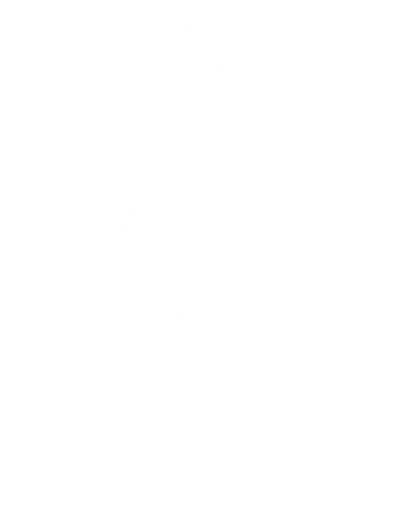$\label{eq:2.1} \begin{split} \mathcal{L}_{\text{max}}(\mathbf{r}) & = \frac{1}{2} \sum_{i=1}^{N} \mathcal{L}_{\text{max}}(\mathbf{r}) \mathcal{L}_{\text{max}}(\mathbf{r}) \\ & = \frac{1}{2} \sum_{i=1}^{N} \mathcal{L}_{\text{max}}(\mathbf{r}) \mathcal{L}_{\text{max}}(\mathbf{r}) \mathcal{L}_{\text{max}}(\mathbf{r}) \mathcal{L}_{\text{max}}(\mathbf{r}) \mathcal{L}_{\text{max}}(\mathbf{r}) \mathcal{L}_{\text{max}}(\mathbf{r}) \mathcal{L}_{\text{max}}(\mathbf$  $\label{eq:2.1} \frac{1}{\sqrt{2}}\left(\frac{1}{\sqrt{2}}\right)^{2} \left(\frac{1}{\sqrt{2}}\right)^{2} \left(\frac{1}{\sqrt{2}}\right)^{2} \left(\frac{1}{\sqrt{2}}\right)^{2} \left(\frac{1}{\sqrt{2}}\right)^{2} \left(\frac{1}{\sqrt{2}}\right)^{2} \left(\frac{1}{\sqrt{2}}\right)^{2} \left(\frac{1}{\sqrt{2}}\right)^{2} \left(\frac{1}{\sqrt{2}}\right)^{2} \left(\frac{1}{\sqrt{2}}\right)^{2} \left(\frac{1}{\sqrt{2}}\right)^{2} \left(\$ 

 $\mathcal{L}^{\mathcal{L}}(\mathcal{L}^{\mathcal{L}})$  and  $\mathcal{L}^{\mathcal{L}}(\mathcal{L}^{\mathcal{L}})$  and  $\mathcal{L}^{\mathcal{L}}(\mathcal{L}^{\mathcal{L}})$  and  $\mathcal{L}^{\mathcal{L}}(\mathcal{L}^{\mathcal{L}})$  $\label{eq:2.1} \mathcal{L}(\mathcal{L}) = \mathcal{L}(\mathcal{L}) \mathcal{L}(\mathcal{L})$  $\label{eq:2.1} \mathcal{L}(\mathcal{L}^{\text{max}}_{\mathcal{L}}(\mathcal{L}^{\text{max}}_{\mathcal{L}}(\mathcal{L}^{\text{max}}_{\mathcal{L}}(\mathcal{L}^{\text{max}}_{\mathcal{L}^{\text{max}}_{\mathcal{L}}})))))$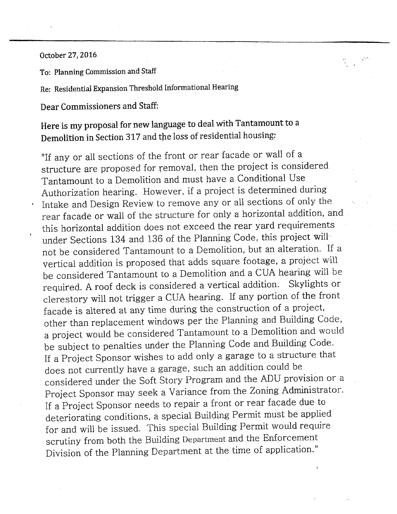### October 27, 2016

To: Planning Commission and Staff

Re: Residential Expansion Threshold Informational Hearing

Dear Commissioners and Staff:

Here is my proposal for new language to deal with Tantamount to a Demolition in Section 317 and the loss of residential housing:

"If any or all sections of the front or rear facade or wall of a structure are proposed for removal, then the project is considered Tantamount to a Demolition and must have a Conditional Use Authorization hearing. However, if a project is determined during Intake and Design Review to remove any or all sections of only the rear facade or wall of the structure for only a horizontal addition, and this horizontal addition does not exceed the rear yard requirements under Sections 134 and 136 of the Planning Code, this project will not be considered Tantamount to a Demolition, but an alteration. If a vertical addition is proposed that adds square footage, a project will be considered Tantamount to a Demolition and a CUA hearing will be required. A roof deck is considered a vertical addition. Skylights or clerestory will not trigger a CUA hearing. If any portion of the front facade is altered at any time during the construction of a project, other than replacement windows per the Planning and Building Code, a project would be considered Tantamount to a Demolition and would be subject to penalties under the Planning Code and Building Code. If a Project Sponsor wishes to add only a garage to a structure that does not currently have a garage, such an addition could be considered under the Soft Story Program and the ADU provision or a Project Sponsor may seek a Variance from the Zoning Administrator. If a Project Sponsor needs to repair a front or rear facade due to deteriorating conditions, a special Building Permit must be applied for and will be issued. This special Building Permit would require scrutiny from both the Building Department and the Enforcement Division of the Planning Department at the time of application."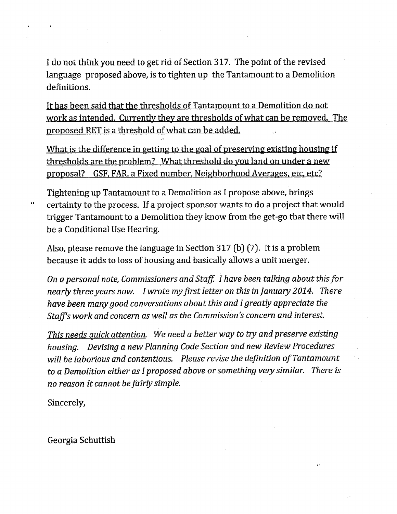I do not think you need to get rid of Section 317. The point of the revised language proposed above, is to tighten up the Tantamount to a Demolition definitions.

It has been said that the thresholds of Tantamount to a Demolition do not work as intended. Currently they are thresholds of what can be removed. The proposed RET is a threshold of what can be added.

What is the difference in getting to the goal of preserving existing housing if thresholds are the problem? What threshold do you land on under a new proposal? GSF, FAR, a Fixed number, Neighborhood Averages, etc. etc?

Tightening up Tantamount to a Demolition as I propose above, brings " certainty to the process. If a project sponsor wants to do a project that would trigger Tantamount to a Demolition they know from the get-go that there will be a Conditional Use Hearing.

Also, please remove the language in Section  $317$  (b) (7). It is a problem because it adds to loss of housing and basically allows a unit merger.

On a personal note, Commissioners and Staff. I have been talking about this for nearly three years now. I wrote my first letter on this in January 2014. There have been many good conversations about this and I greatly appreciate the Staff's work and concern as well as the Commission's concern and interest.

This needs quick attention. We need a better way to try and preserve existing housing. Devising a new Planning Code Section and new Review Procedures will be laborious and contentious. Please revise the definition of Tantamount to a Demolition either as I proposed above or something very similar. There is no reason it cannot be fairly simple.

i t

Sincerely,

Georgia Schuttish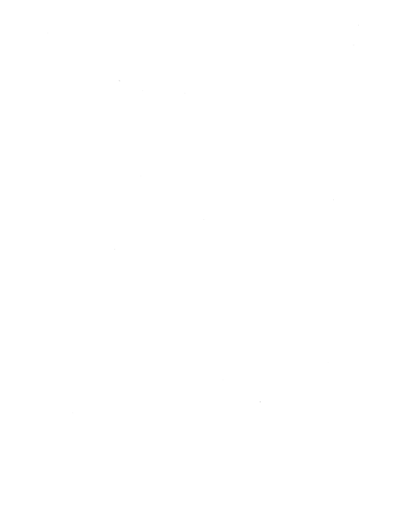$\label{eq:2.1} \frac{1}{\sqrt{2}}\int_{\mathbb{R}^3}\frac{1}{\sqrt{2}}\left(\frac{1}{\sqrt{2}}\right)^2\frac{1}{\sqrt{2}}\left(\frac{1}{\sqrt{2}}\right)^2\frac{1}{\sqrt{2}}\left(\frac{1}{\sqrt{2}}\right)^2\frac{1}{\sqrt{2}}\left(\frac{1}{\sqrt{2}}\right)^2.$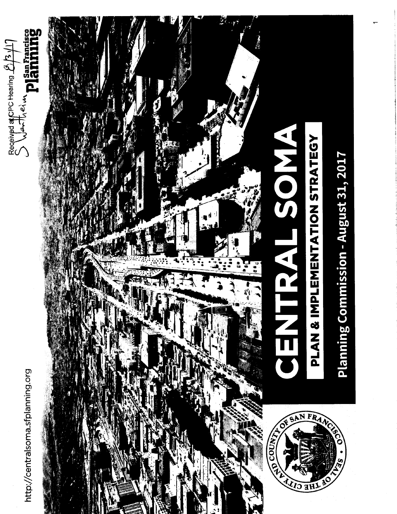

Received at CPC Hearing  $\frac{1}{2}$ 

Received at CPC Hearing  $\frac{\beta_1!}{\beta_1!}$ 

 $m_{\rm e}$  ,  $m_{\rm e}$ 

 $\mathbf{F}$  first  $\mathbf{G}$ 

~



~~

S.)<br>.

Planning Commission - August 31, 2017  $101118$  Committed - we shall be  $21$ 

 $\mathbf -$ 

\_\_ \_ . \_.\_.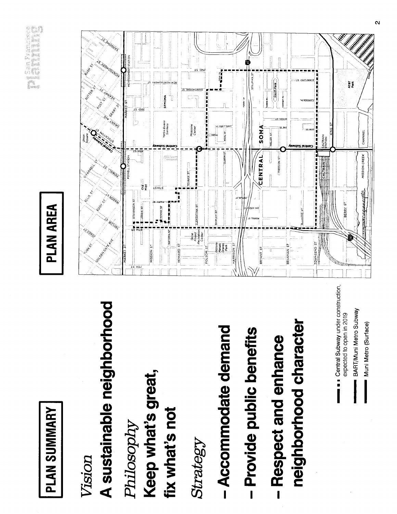## **PLAN SUMMARY**

Vision

# A sustainable neighborhood

Keep what's great, fix what's not Philosophy

Strategy

- Accommodate demand
- Provide public benefits
- neighborhood character - Respect and enhance





### PLAN AREA



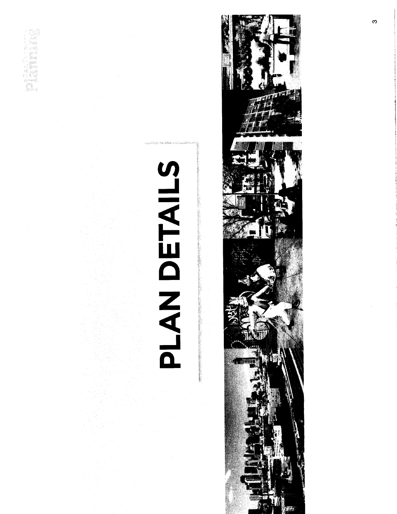

ო